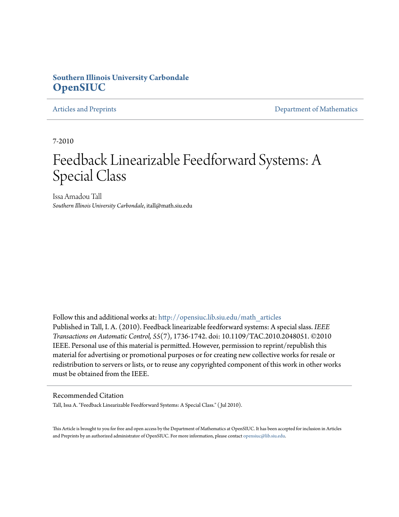## **Southern Illinois University Carbondale [OpenSIUC](http://opensiuc.lib.siu.edu?utm_source=opensiuc.lib.siu.edu%2Fmath_articles%2F108&utm_medium=PDF&utm_campaign=PDFCoverPages)**

[Articles and Preprints](http://opensiuc.lib.siu.edu/math_articles?utm_source=opensiuc.lib.siu.edu%2Fmath_articles%2F108&utm_medium=PDF&utm_campaign=PDFCoverPages) **[Department of Mathematics](http://opensiuc.lib.siu.edu/math?utm_source=opensiuc.lib.siu.edu%2Fmath_articles%2F108&utm_medium=PDF&utm_campaign=PDFCoverPages)** Department of Mathematics

7-2010

# Feedback Linearizable Feedforward Systems: A Special Class

Issa Amadou Tall *Southern Illinois University Carbondale*, itall@math.siu.edu

Follow this and additional works at: [http://opensiuc.lib.siu.edu/math\\_articles](http://opensiuc.lib.siu.edu/math_articles?utm_source=opensiuc.lib.siu.edu%2Fmath_articles%2F108&utm_medium=PDF&utm_campaign=PDFCoverPages) Published in Tall, I. A. (2010). Feedback linearizable feedforward systems: A special slass. *IEEE Transactions on Automatic Control, 55*(7), 1736-1742. doi: 10.1109/TAC.2010.2048051. ©2010 IEEE. Personal use of this material is permitted. However, permission to reprint/republish this material for advertising or promotional purposes or for creating new collective works for resale or redistribution to servers or lists, or to reuse any copyrighted component of this work in other works must be obtained from the IEEE.

#### Recommended Citation

Tall, Issa A. "Feedback Linearizable Feedforward Systems: A Special Class." ( Jul 2010).

This Article is brought to you for free and open access by the Department of Mathematics at OpenSIUC. It has been accepted for inclusion in Articles and Preprints by an authorized administrator of OpenSIUC. For more information, please contact [opensiuc@lib.siu.edu](mailto:opensiuc@lib.siu.edu).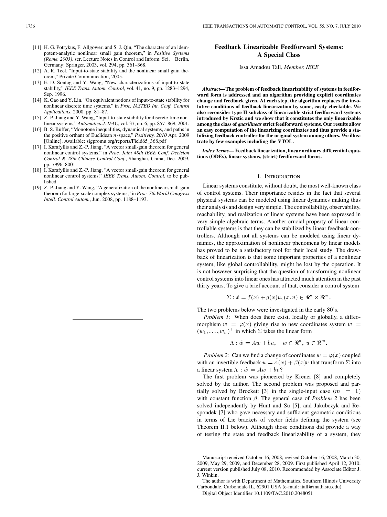- [11] H. G. Potrykus, F. Allgöwer, and S. J. Qin, "The character of an idempotent-analytic nonlinear small gain theorem," in *Positive Systems (Rome, 2003)*, ser. Lecture Notes in Control and Inform. Sci. Berlin, Germany: Springer, 2003, vol. 294, pp. 361–368.
- [12] A. R. Teel, "Input-to-state stability and the nonlinear small gain theorem," Private Communication, 2005.
- [13] E. D. Sontag and Y. Wang, "New characterizations of input-to-state stability," *IEEE Trans. Autom. Control*, vol. 41, no. 9, pp. 1283–1294, Sep. 1996.
- [14] K. Gao and Y. Lin, "On equivalent notions of input-to-state stability for nonlinear discrete time systems," in *Proc. IASTED Int. Conf. Control Applications*, 2000, pp. 81–87.
- [15] Z.-P. Jiang and Y. Wang, "Input-to-state stability for discrete-time nonlinear systems," *Automatica J. IFAC*, vol. 37, no. 6, pp. 857–869, 2001.
- [16] B. S. Rüffer, "Monotone inequalities, dynamical systems, and paths in the positive orthant of Euclidean n-space," *Positivity*, 2010 Apr. 2009 [Online]. Available: sigpromu.org/reports/Field65\_368.pdf
- [17] I. Karafyllis and Z.-P. Jiang, "A vector small-gain theorem for general nonlinear control systems," in *Proc. Joint 48th IEEE Conf. Decision Control & 28th Chinese Control Conf.*, Shanghai, China, Dec. 2009, pp. 7996–8001.
- [18] I. Karafyllis and Z.-P. Jiang, "A vector small-gain theorem for general nonlinear control systems," *IEEE Trans. Autom. Control*, to be published.
- [19] Z.-P. Jiang and Y. Wang, "A generalization of the nonlinear small-gain theorem for large-scale complex systems," in *Proc. 7th World Congress Intell. Control Autom.*, Jun. 2008, pp. 1188–1193.

#### **Feedback Linearizable Feedforward Systems: A Special Class**

#### Issa Amadou Tall*, Member, IEEE*

*Abstract—***The problem of feedback linearizability of systems in feedforward form is addressed and an algorithm providing explicit coordinates change and feedback given. At each step, the algorithm replaces the involutive conditions of feedback linearization by some, easily checkable. We also reconsider type II subclass of linearizable strict feedforward systems introduced by Krstic and we show that it constitutes the only linearizable among the class of** *quasilinear***strict feedforward systems. Our results allow an easy computation of the linearizing coordinates and thus provide a stabilizing feedback controller for the original system among others. We illustrate by few examples including the VTOL.**

*Index Terms—* **Feedback linearization, linear ordinary differential equations (ODEs), linear systems, (strict) feedforward forms.**

#### I. INTRODUCTION

Linear systems constitute, without doubt, the most well-known class of control systems. Their importance resides in the fact that several physical systems can be modeled using linear dynamics making thus their analysis and design very simple. The controllability, observability, reachability, and realization of linear systems have been expressed in very simple algebraic terms. Another crucial property of linear controllable systems is that they can be stabilized by linear feedback controllers. Although not all systems can be modeled using linear dynamics, the approximation of nonlinear phenomena by linear models has proved to be a satisfactory tool for their local study. The drawback of linearization is that some important properties of a nonlinear system, like global controllability, might be lost by the operation. It is not however surprising that the question of transforming nonlinear control systems into linear ones has attracted much attention in the past thirty years. To give a brief account of that, consider a control system

$$
\Sigma: \dot{x} = f(x) + g(x)u, (x, u) \in \Re^{n} \times \Re^{m}.
$$

The two problems below were investigated in the early 80's.

*Problem 1:* When does there exist, locally or globally, a diffeomorphism  $w = \varphi(x)$  giving rise to new coordinates system  $w =$  $(i_1, \ldots, i_n)^\top$  in which  $\Sigma$  takes the linear form

$$
\Lambda: \dot{w} = Aw + bu, \quad w \in \Re^n, \ u \in \Re^m
$$

.

*Problem 2:* Can we find a change of coordinates  $w = \varphi(x)$  coupled with an invertible feedback  $u = \alpha(x) + \beta(x)v$  that transform  $\Sigma$  into a linear system  $\Lambda$  :  $\dot{w} = Aw + bv$ ?

The first problem was pioneered by Krener [8] and completely solved by the author. The second problem was proposed and partially solved by Brockett [3] in the single-input case  $(m = 1)$ with constant function  $\beta$ . The general case of *Problem 2* has been solved independently by Hunt and Su [5], and Jakubczyk and Respondek [7] who gave necessary and sufficient geometric conditions in terms of Lie brackets of vector fields defining the system (see Theorem II.1 below). Although those conditions did provide a way of testing the state and feedback linearizability of a system, they

Digital Object Identifier 10.1109/TAC.2010.2048051

Manuscript received October 16, 2008; revised October 16, 2008, March 30, 2009, May 29, 2009, and December 28, 2009. First published April 12, 2010; current version published July 08, 2010. Recommended by Associate Editor J. J. Winkin.

The author is with Department of Mathematics, Southern Illinois University Carbondale, Carbondale IL, 62901 USA (e-mail: itall@math.siu.edu).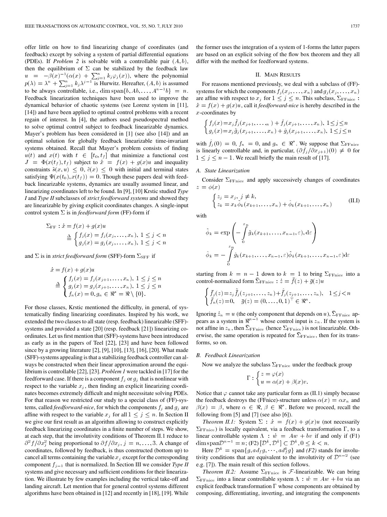offer little on how to find linearizing change of coordinates (and feedback) except by solving a system of partial differential equations (PDEs). If *Problem* 2 is solvable with a controllable pair  $(A, b)$ , then the equilibrium of  $\Sigma$  can be stabilized by the feedback law  $u = -\beta(x)^{-1}(\alpha(x) + \sum_{j=1}^{n} k_j \varphi_j(x))$ , where the polynomial  $p(\lambda) = \lambda^n + \sum_{j=1}^n k_j \lambda^{j-1}$  is Hurwitz. Hereafter,  $(A, b)$  is assumed to be always controllable, i.e., dim span $\{b, Ab, \ldots, A^{n-1}b\} = n$ . Feedback linearization techniques have been used to improve the dynamical behavior of chaotic systems (see Lorenz system in [11], [14]) and have been applied to optimal control problems with a recent regain of interest. In [4], the authors used pseudospectral method to solve optimal control subject to feedback linearizable dynamics. Mayer's problem has been considered in [1] (see also [14]) and an optimal solution for globally feedback linearizable time-invariant systems obtained. Recall that Mayer's problem consists of finding  $u(t)$  and  $x(t)$  with  $t \in [t_0, t_f]$  that minimize a functional cost  $J = \Phi(x(t_f), t_f)$  subject to  $\dot{x} = f(x) + g(x)u$  and inequality constraints  $\tilde{s}(x, u) \leq 0$ ,  $\tilde{c}(x) \leq 0$  with initial and terminal states satisfying  $\Psi(x(t_0), x(t_f)) = 0$ . Though these papers deal with feedback linearizable systems, dynamics are usually assumed linear, and linearizing coordinates left to be found. In [9], [10] Krstic studied *Type I* and *Type II* subclasses of *strict feedforward systems* and showed they are linearizable by giving explicit coordinates changes. A single-input control system  $\Sigma$  is in *feedforward form* (FF)-form if

$$
\Sigma_{\text{FF}} : \dot{x} = f(x) + g(x)u
$$
\n
$$
\triangleq \begin{cases} f_j(x) = f_j(x_j, \dots, x_n), \ 1 \le j < n \\ g_j(x) = g_j(x_j, \dots, x_n), \ 1 \le j < n \end{cases}
$$

and  $\Sigma$  is in *strict feedforward form* (SFF)-form  $\Sigma_{\rm SFF}$  if

$$
\dot{x} = f(x) + g(x)u
$$
\n
$$
\stackrel{\Delta}{=} \begin{cases}\nf_j(x) = f_j(x_{j+1}, \dots, x_n), \ 1 \le j \le n \\
g_j(x) = g_j(x_{j+1}, \dots, x_n), \ 1 \le j \le n \\
f_n(x) = 0, g_n \in \mathbb{R}^* = \mathbb{R} \setminus \{0\}.\n\end{cases}
$$

For those classes, Krstic mentioned the difficulty, in general, of systematically finding linearizing coordinates. Inspired by his work, we extended the two classes to all state (resp. feedback) linearizable (SFF) systems and provided a state [20] (resp. feedback [21]) linearizing coordinates. Let us first mention that (SFF)-systems have been introduced as early as in the papers of Teel [22], [23] and have been followed since by a growing literature [2], [9], [10], [13], [16], [20]. What made (SFF)-systems appealing is that a stabilizing feedback controller can always be constructed when their linear approximation around the equilibrium is controllable [22], [23]. *Problem 1* were tackled in [17] for the feedforward case. If there is a component  $f_j$  or  $g_j$  that is nonlinear with respect to the variable  $x_j$ , then finding an explicit linearizing coordinates becomes extremely difficult and might necessitate solving PDEs. For that reason we restricted our study to a special class of (FF)-systems, called *feedforward-nice*, for which the components  $f_j$  and  $g_j$  are affine with respect to the variable  $x_j$  for all  $1 \leq j \leq n$ . In Section II we give our first result as an algorithm allowing to construct explicitly feedback linearizing coordinates in a finite number of steps. We show, at each step, that the involutivity conditions of Theorem II.1 reduce to  $\partial^2 f / \partial x_j^2$  being proportional to  $\partial f / \partial x_j$ ,  $j = n, \ldots, 3$ . A change of coordinates, followed by feedback, is thus constructed (bottom up) to cancel all terms containing the variable  $x_j$  except for the corresponding component  $f_{j-1}$  that is normalized. In Section III we consider *Type II* systems and give necessary and sufficient conditions for their linearization. We illustrate by few examples including the vertical take-off and landing aircraft. Let mention that for general control systems different algorithms have been obtained in [12] and recently in [18], [19]. While

the former uses the integration of a system of 1-forms the latter papers are based on an explicit solving of the flow box theorem and they all differ with the method for feedforward systems.

#### II. MAIN RESULTS

For reasons mentioned previously, we deal with a subclass of (FF) systems for which the components  $f_j(x_j, \ldots, x_n)$  and  $g_j(x_j, \ldots, x_n)$ are affine with respect to  $x_j$  for  $1 \leq j \leq n$ . This subclass,  $\Sigma_{\text{FFnice}}$ :  $x = f(x) + g(x)u$ , call it *feedforward-nice* is hereby described in the  $x$ -coordinates by

$$
\begin{cases} f_j(x) = x_j \tilde{f}_j(x_{j+1}, \dots, n) + \hat{f}_j(x_{j+1}, \dots, x_n), \ 1 \leq j \leq n \\ g_j(x) = x_j \tilde{g}_j(x_{j+1}, \dots, x_n) + \hat{g}_j(x_{j+1}, \dots, x_n), \ 1 \leq j \leq n \end{cases}
$$

with  $\hat{f}_j(0) = 0$ ,  $f_n = 0$ , and  $g_n \in \Re^*$ . We suppose that  $\Sigma_{\text{FFnice}}$ is linearly controllable and, in particular,  $(\partial \hat{f}_j / \partial x_{j+1})(0) \neq 0$  for  $1 \leq j \leq n-1$ . We recall briefly the main result of [17].

#### *A. State Linearization*

Consider  $\Sigma_{\text{FFnice}}$  and apply successively changes of coordinates  $z = \phi(x)$ 

$$
\begin{cases} z_j = x_j, \ j \neq k, \\ z_k = x_k \tilde{\phi}_k (x_{k+1}, \dots, x_n) + \hat{\phi}_k (x_{k+1}, \dots, x_n) \end{cases}
$$
(II.I)

with

$$
\tilde{\phi}_k = \exp\left(-\int\limits_0^{x_n} \tilde{g}_k(x_{k+1}, \dots, x_{n-1}, \varepsilon), \mathrm{d}\varepsilon\right)
$$

$$
\hat{\phi}_k = -\int\limits_0^{x_n} \hat{g}_k(x_{k+1}, \dots, x_{n-1}, \varepsilon) \tilde{\phi}_k(x_{k+1}, \dots, x_{n-1}, \varepsilon) \mathrm{d}\varepsilon
$$

starting from  $k = n - 1$  down to  $k = 1$  to bring  $\Sigma_{\text{FFnice}}$  into a control-normalized form  $\bar{\Sigma}_{\text{FFnice}}$  :  $\dot{z} = \bar{f}(z) + \bar{g}(z)u$ 

$$
\begin{cases} \bar{f}_j(z) = z_j \tilde{f}_j(z_{j+1}, \dots, z_n) + \hat{f}_j(z_{j+1}, \dots, z_n), & 1 \le j < n \\ \bar{f}_n(z) = 0, \quad \bar{g}(z) = (0, \dots, 0, 1)^\top \in \Re^n. \end{cases}
$$

Ignoring  $\dot{z}_n = u$  (the only component that depends on  $u$ ),  $\bar{\Sigma}_{\text{FFnice}}$  appears as a system in  $\Re^{n-1}$  whose control input is  $z_n$ . If the system is not affine in  $z_n$ , then  $\bar{\Sigma}_{\text{FFnice}}$  (hence  $\Sigma_{\text{FFnice}}$ ) is not linearizable. Otherwise, the same operation is repeated for  $\bar{\Sigma}_{\text{FFnice}}$ , then for its transforms, so on.

#### *B. Feedback Linearization*

Now we analyze the subclass  $\Sigma_{\text{FFnice}}$  under the feedback group

$$
\Gamma: \begin{cases} z = \varphi(x) \\ u = \alpha(x) + \beta(x)v. \end{cases}
$$

Notice that  $\varphi$  cannot take any particular form as (II.1) simply because the feedback destroys the (FFnice)-structure unless  $\alpha(x) = \alpha x_n$  and  $\beta(x) = \beta$ , where  $\alpha \in \Re$ ,  $\beta \in \Re^*$ . Before we proceed, recall the following from [5] and [7] (see also [6]).

*Theorem II.1:* System  $\Sigma$  :  $\dot{x} = f(x) + g(x)u$  (not necessarily  $\Sigma_{\text{FFnice}}$ ) is locally equivalent, via a feedback transformation  $\Gamma$ , to a linear controllable system  $\Lambda : \dot{w} = Aw + bv$  if and only if (F1) dim span $\mathcal{D}^{n-1} = n$ ; (F2)  $[\mathcal{D}^k, \mathcal{D}^k] \subset \mathcal{D}^k$ ,  $0 \leq k < n$ .

Here  $\mathcal{D}^k = \text{span}\{g, ad_f g, \dots, ad_f^k g\}$  and *(F2)* stands for involutivity conditions that are equivalent to the involutivity of  $\mathcal{D}^{n-2}$  (see e.g. [7]). The main result of this section follows.

*Theorem II.2:* Assume  $\Sigma_{\text{FFnice}}$  is  $\mathcal F$ -linearizable. We can bring  $\Sigma_{\text{FFnice}}$  into a linear controllable system  $\Lambda : w = Aw + bu$  via an explicit feedback transformation  $\Gamma$  whose components are obtained by composing, differentiating, inverting, and integrating the components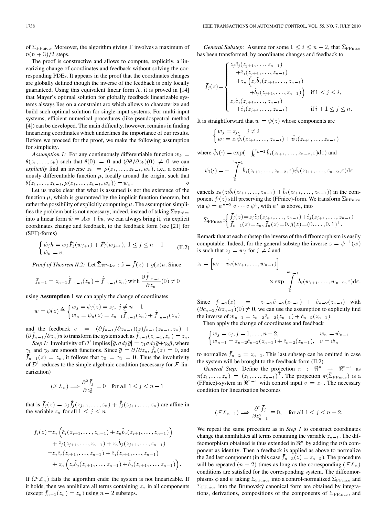of  $\Sigma_{\text{FFnice}}$ . Moreover, the algorithm giving  $\Gamma$  involves a maximum of  $n(n+3)/2$  steps.

The proof is constructive and allows to compute, explicitly, a linearizing change of coordinates and feedback without solving the corresponding PDEs. It appears in the proof that the coordinates changes are globally defined though the inverse of the feedback is only locally guaranteed. Using this equivalent linear form  $\Lambda$ , it is proved in [14] that Mayer's optimal solution for globally feedback linearizable systems always lies on a constraint arc which allows to characterize and build such optimal solution for single-input systems. For multi-input systems, efficient numerical procedures (like pseudospectral method [4]) can be developed. The main difficulty, however, remains in finding linearizing coordinates which underlines the importance of our results. Before we proceed for the proof, we make the following assumption for simplicity.

*Assumption 1:* For any continuously differentiable function  $w_k =$  $\theta(z_1,\ldots,z_k)$  such that  $\theta(0) = 0$  and  $(\partial \theta/\partial z_k)(0) \neq 0$  we can explicitly find an inverse  $z_k = \mu(z_1, \ldots, z_{k-1}, w_k)$ , i.e., a continuously differentiable function  $\mu$ , locally around the origin, such that  $\theta(z_1,\ldots,z_{k-1},\mu(z_1,\ldots,z_{k-1},w_k))=w_k.$ 

Let us make clear that what is assumed is not the existence of the function  $\mu$ , which is guaranteed by the implicit function theorem, but rather the possibility of explicitly computing  $\mu$ . The assumption simplifies the problem but is not necessary; indeed, instead of taking  $\Sigma_{\rm FF\,nice}$ into a linear form  $w = Aw + bu$ , we can always bring it, via explicit coordinates change and feedback, to the feedback form (see [21] for (SFF)-forms)

$$
\begin{cases} \dot{w}_j h = w_j \tilde{F}_j(w_{j+1}) + \hat{F}_j(w_{j+1}), 1 \le j \le n-1 \\ \dot{w}_n = v. \end{cases}
$$
 (II.2)

*Proof of Theorem II.2:* Let  $\bar{\Sigma}_{\text{FFnice}}$  :  $\dot{z} = \bar{f}(z) + \bar{g}(z)u$ . Since

$$
\bar{f}_{n-1} = z_{n-1} \tilde{f}_{n-1}(z_n) + \hat{f}_{n-1}(z_n) \text{ with } \frac{\partial \hat{f}_{n-1}}{\partial z_n}(0) \neq 0
$$

using **Assumption 1** we can apply the change of coordinates

$$
w = \psi(z) \stackrel{\Delta}{=} \begin{cases} w_j = \psi_j(z) = z_j, \ j \neq n-1 \\ w_n = \psi_n(z) = z_{n-1} \tilde{f}_{n-1}(z_n) + \hat{f}_{n-1}(z_n) \end{cases}
$$

and the feedback  $v = (\partial \bar{f}_{n-1}/\partial z_{n-1})(z)\bar{f}_{n-1}(z_{n-1}, z_n)$  +  $(\partial \bar{f}_{n-1}/\partial z_n)u$  to transform the system such as  $\bar{f}_{n-1}(z_{n-1}, z_n) = z_n$ .

*Step 1:* Involutivity of  $\mathcal{D}^1$  implies  $[\bar{g}, ad_{\bar{f}}\bar{g}] = \gamma_1 ad_{\bar{f}}\bar{g} + \gamma_0 \bar{g}$ , where  $\gamma_1$  and  $\gamma_0$  are smooth functions. Since  $\bar{g} = \partial/\partial z_n$ ,  $\bar{f}_n$  $\gamma_1$  and  $\gamma_0$  are smooth functions. Since  $\bar{g} = \partial/\partial z_n$ ,  $f_n(z) = 0$ , and  $\bar{f}_{n-1}(z) = z_n$ , it follows that  $\gamma_0 = \gamma_1 = 0$ . Thus the involutivity of  $\mathcal{D}^1$  reduces to the simple algebraic condition (necessary for  $\mathcal{F}\text{-lin}$ earization)

$$
(\mathcal{F}\mathit{L}_n) \Longrightarrow \frac{\partial^2 \bar{f}_j}{\partial z_n^2} = 0 \quad \text{for all } 1 \leq j \leq n-1
$$

that is  $\bar{f}_j(z) = z_j \tilde{f}_j(z_{j+1},...,z_n) + \hat{f}_j(z_{j+1},...,z_n)$  are affine in the variable  $z_n$  for all  $1 \leq j \leq n$ 

$$
\bar{f}_j(z) = z_j \left( \tilde{c}_j(z_{j+1}, \ldots, z_{n-1}) + z_n \tilde{b}_j(z_{j+1}, \ldots, z_{n-1}) \right) \n+ \hat{c}_j(z_{j+1}, \ldots, z_{n-1}) + z_n \hat{b}_j(z_{j+1}, \ldots, z_{n-1}) \n= z_j \tilde{c}_j(z_{j+1}, \ldots, z_{n-1}) + \hat{c}_j(z_{j+1}, \ldots, z_{n-1}) \n+ z_n \left( z_j \tilde{b}_j(z_{j+1}, \ldots, z_{n-1}) + \hat{b}_j(z_{j+1}, \ldots, z_{n-1}) \right).
$$

If  $(F \mathcal{L}_n)$  fails the algorithm ends: the system is not linearizable. If it holds, then we annihilate all terms containing  $z_n$  in all components (except  $\bar{f}_{n-1}(z_n) = z_n$ ) using  $n-2$  substeps.

*General Substep:* Assume for some  $1 \le i \le n-2$ , that  $\bar{\Sigma}_{\text{FFnice}}$ has been transformed, by coordinates changes and feedback to

$$
\bar{f}_j(z) = \begin{cases}\nz_j \tilde{c}_j(z_{j+1}, \ldots, z_{n-1}) \\
+ \hat{c}_j(z_{j+1}, \ldots, z_{n-1}) \\
+ z_n(z_j \tilde{b}_j(z_{j+1}, \ldots, z_{n-1}) \\
+ \hat{b}_j(z_{j+1}, \ldots, z_{n-1})\n\end{cases} \quad \text{if } 1 \le j \le i,
$$
\n
$$
z_j \tilde{c}_j(z_{j+1}, \ldots, z_{n-1})
$$
\n
$$
+ \hat{c}_j(z_{j+1}, \ldots, z_{n-1})
$$
\n
$$
\quad \text{if } i+1 \le j \le n.
$$

It is straightforward that  $w = \psi(z)$  whose components are

$$
\begin{cases} w_j = z_j, & j \neq i \\ w_i = z_i \tilde{\psi}_i(z_{i+1}, \dots, z_{n-1}) + \hat{\psi}_i(z_{i+1}, \dots, z_{n-1}) \end{cases}
$$

where  $\tilde{\psi}_i(\cdot) = \exp(-\int_0^{z_n-1} \tilde{b}_i(z_{i+1}, \dots, z_{n-2}, \varepsilon) d\varepsilon)$  and

$$
\hat{\psi}_i(\cdot) = -\int\limits_0^{z_{n-1}} \hat{b}_i(z_{i+1},\ldots,z_{n-2},\varepsilon)\tilde{\psi}_i(z_{i+1},\ldots,z_{n-2},\varepsilon)d\varepsilon
$$

cancels  $z_n(z_i\tilde{b}_i(z_{i+1},...,z_{n-1}) + \hat{b}_i(z_{i+1},...,z_{n-1}))$  in the component  $\bar{f}_i(z)$  still preserving the (FFnice)-form. We transform  $\Sigma_{\rm FFnice}$ via  $\psi = \psi^{n-2} \circ \cdots \circ \psi^1$ , with  $\psi^i$  as above, into

$$
\bar{\Sigma}_{\text{FFnice}}: \left\{ \begin{matrix} \bar{f}_j(z) = z_j \tilde{c}_j(z_{j+1}, \dots, z_{n-1}) + \hat{c}_j(z_{j+1}, \dots, z_{n-1}) \\ \bar{f}_{n-1}(z) = z_n, \bar{f}_n(z) = 0, \bar{g}(z) = (0, \dots, 0, 1)^\top. \end{matrix} \right.
$$

Remark that at each substep the inverse of the diffeomorphism is easily computable. Indeed, for the general substep the inverse  $z = \psi^{-1}(w)$ is such that  $z_j = w_j$  for  $j \neq i$  and

$$
z_i = \left[w_i - \hat{\psi}_i(w_{i+1}, \dots, w_{n-1})\right] \times \exp \int\limits_0^{w_{n-1}} \tilde{b}_i(w_{i+1}, \dots, w_{n-2}, \varepsilon) d\varepsilon.
$$

Since  $\bar{f}_{n-2}(z) = z_{n-2}\tilde{c}_{n-2}(z_{n-1}) + \hat{c}_{n-2}(z_{n-1})$  with  $(\partial \hat{c}_{n-2}/\partial z_{n-1})(0) \neq 0$ , we can use the assumption to explicitly find the inverse of  $w_{n-1} = z_{n-2} \tilde{c}_{n-2} (z_{n-1}) + \hat{c}_{n-2} (z_{n-1}).$ 

Then apply the change of coordinates and feedback

$$
\begin{cases} w_j = z_j, j = 1, \dots, n-2, & w_n = \dot{w}_{n-1} \\ w_{n-1} = z_{n-2} \tilde{c}_{n-2} (z_{n-1}) + \hat{c}_{n-2} (z_{n-1}), & v = \dot{w}_n \end{cases}
$$

to normalize  $\bar{f}_{n-2} = z_{n-1}$ . This last substep can be omitted in case the system will be brought to the feedback form (II.2).

*General Step:* Define the projection  $\pi$  :  $\mathbb{R}^n \rightarrow \mathbb{R}^{n-1}$  as  $\pi(z_1,\ldots,z_n) = (z_1,\ldots,z_{n-1})^{\dagger}$ . The projection  $\pi(\bar{\Sigma}_{\text{FFnice}})$  is a (FFnice)-system in  $\Re^{n-1}$  with control input  $v = z_n$ . The necessary condition for linearization becomes

$$
(\mathcal{F}\mathcal{L}_{n-1}) \Longrightarrow \frac{\partial^2 \bar{f}_j}{\partial z_{n-1}^2} \equiv 0, \quad \text{for all } 1 \le j \le n-2.
$$

We repeat the same procedure as in *Step 1* to construct coordinates change that annihilates all terms containing the variable  $z_{n-1}$ . The diffeomorphism obtained is thus extended in  $\mathbb{R}^n$  by adding the *n*th component as identity. Then a feedback is applied as above to normalize the 2nd last component (in this case  $\bar{f}_{n-3}(z) = z_{n-2}$ ). The procedure will be repeated  $(n-2)$  times as long as the corresponding  $(\mathcal{F}\mathcal{L}_n)$ conditions are satisfied for the corresponding system. The diffeomorphisms  $\phi$  and  $\psi$  taking  $\Sigma_{\rm FFnice}$  into a control-normalized  $\bar{\Sigma}_{\rm FFnice}$  and  $\bar{\Sigma}_{\text{FF nice}}$  into the Brunovský canonical form are obtained by integrations, derivations, compositions of the components of  $\Sigma_{\text{FFnice}}$ , and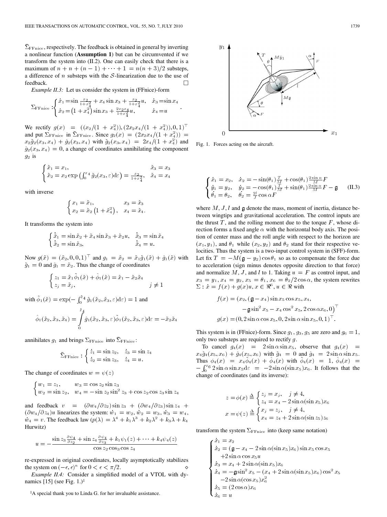$\bar{\Sigma}_{\rm FF\,nice}$ , respectively. The feedback is obtained in general by inverting a nonlinear function (**Assumption 1**) but can be circumvented if we transform the system into (II.2). One can easily check that there is a maximum of  $n + n + (n - 1) + \cdots + 1 = n(n + 3)/2$  substeps, a difference of  $n$  substeps with the  $S$ -linearization due to the use of feedback.  $\Box$ 

*Example II.3:* Let us consider the system in (FFnice)-form

$$
\Sigma_{\text{FFnice}}: \begin{cases} \dot{x}_1 = \sin \frac{x_2}{1+x_4^2} + x_4 \sin x_3 + \frac{x_2}{1+x_4^2} u, & \dot{x}_3 = \sin x_4 \\ \dot{x}_2 = \left(1 + x_4^2\right) \sin x_3 + \frac{2x_2 x_4}{1+x_4^2} u, & \dot{x}_4 = u \end{cases}.
$$

We rectify  $g(x) = ((x_2/(1 + x_4^2)), (2x_2x_4/(1 + x_4^2)), 0, 1)^\top$ and put  $\Sigma_{\text{FFnice}}$  in  $\bar{\Sigma}_{\text{FFnice}}$ . Since  $g_2(x) = (2x_2x_4/(1+x_4^2))$  $x_2 \tilde{g}_2(x_3, x_4) + \tilde{g}_2(x_3, x_4)$  with  $\tilde{g}_2(x_3, x_4) = 2x_4/(1 + x_4^2)$  and  $\hat{g}_2(x_3, x_4) = 0$ , a change of coordinates annihilating the component  $g_2$  is

$$
\begin{cases} \tilde{x}_1 = x_1, & \tilde{x}_3 = x_3 \\ \tilde{x}_2 = x_2 \exp\left(\int_0^{x_4} \tilde{g}_2(x_3, \varepsilon) d\varepsilon\right) = \frac{x_2}{1 + x_4^2}, & \tilde{x}_4 = x_4 \end{cases}
$$

with inverse

$$
\begin{cases}\nx_1 = \tilde{x}_1, & x_3 = \tilde{x}_3 \\
x_2 = \tilde{x}_2 (1 + \tilde{x}_4), & x_4 = \tilde{x}_4.\n\end{cases}
$$

It transforms the system into

$$
\begin{cases} \dot{\tilde{x}}_1 = \sin \tilde{x}_2 + \tilde{x}_4 \sin \tilde{x}_3 + \tilde{x}_2 u, & \dot{\tilde{x}}_3 = \sin \tilde{x}_4 \\ \dot{\tilde{x}}_2 = \sin \tilde{x}_3, & \dot{\tilde{x}}_4 = u. \end{cases}
$$

Now  $g(\tilde{x}) = (\tilde{x}_2, 0, 0, 1)^{\top}$  and  $g_1 = \tilde{x}_2 = \tilde{x}_1 \tilde{g}_1(\tilde{x}) + \hat{g}_1(\tilde{x})$  with  $\tilde{g}_1 = 0$  and  $\hat{g}_1 = \tilde{x}_2$ . Thus the change of coordinates

$$
\begin{cases} z_1 = \tilde{x}_1 \tilde{\phi}_1(\tilde{x}) + \hat{\phi}_1(\tilde{x}) = \tilde{x}_1 - \tilde{x}_2 \tilde{x}_4 \\ z_j = \tilde{x}_j, \end{cases} \quad j \neq 1
$$

with  $\tilde{\phi}_1(\tilde{x}) = \exp(-\int_0^{\tilde{x}_4} \tilde{g}_1(\tilde{x}_2, \tilde{x}_3, \varepsilon) d\varepsilon) = 1$  and

$$
\hat{\phi}_1(\tilde{x}_2, \tilde{x}_3, \tilde{x}_4) = \int_{0}^{\tilde{x}_4} \hat{g}_1(\tilde{x}_2, \tilde{x}_3, \varepsilon) \tilde{\phi}_1(\tilde{x}_2, \tilde{x}_3, \varepsilon) d\varepsilon = -\tilde{x}_2 \tilde{x}_4
$$

annihilates  $g_1$  and brings  $\Sigma_{\text{FFnice}}$  into  $\bar{\Sigma}_{\text{FFnice}}$ :

$$
\bar{\Sigma}_{\text{FFnice}}: \begin{cases} \dot{z}_1 = \sin z_2, & \dot{z}_3 = \sin z_4 \\ \dot{z}_2 = \sin z_3, & \dot{z}_4 = u. \end{cases}
$$

The change of coordinates  $w = \psi(z)$ 

$$
\begin{cases} w_1 = z_1, & w_3 = \cos z_2 \sin z_3 \\ w_2 = \sin z_2, & w_4 = -\sin z_2 \sin^2 z_3 + \cos z_2 \cos z_3 \sin z_4 \end{cases}
$$

and feedback  $v = (\partial w_4/\partial z_2) \sin z_3 + (\partial w_4/\partial z_3) \sin z_4 +$  $(\partial w_4/\partial z_4)u$  linearizes the system:  $w_1 = w_2, w_2 = w_3, w_3 = w_4,$  $w_4 = v$ . The feedback law  $(p(\lambda) = \lambda^4 + k_1\lambda^3 + k_2\lambda^2 + k_3\lambda + k_4)$ Hurwitz)

$$
u = -\frac{\sin z_3 \frac{\partial \psi_4}{\partial z_2} + \sin z_4 \frac{\partial \psi_4}{\partial z_3} + k_1 \psi_1(z) + \dots + k_4 \psi_4(z)}{\cos z_2 \cos z_3 \cos z_4}
$$

re-expressed in original coordinates, locally asymptotically stabilizes the system on  $(-\epsilon, \epsilon)^n$  for  $0 < \epsilon < \pi/$ 2.  $\bullet$ 

*Example II.4:* Consider a simplified model of a VTOL with dynamics [15] (see Fig. 1.)1

<sup>1</sup>A special thank you to Linda G. for her invaluable assistance.



Fig. 1. Forces acting on the aircraft.

$$
\begin{cases}\n\dot{x}_1 = x_2, & \dot{x}_2 = -\sin(\theta_1) \frac{T}{M} + \cos(\theta_1) \frac{2\sin \alpha}{M} F \\
\dot{y}_1 = y_2, & \dot{y}_2 = -\cos(\theta_1) \frac{T}{M} + \sin(\theta_1) \frac{2\sin \alpha}{M} F - \mathfrak{g} \\
\dot{\theta}_1 = \theta_2, & \dot{\theta}_2 = \frac{2l}{J} \cos \alpha F\n\end{cases}
$$
(II.3)

where  $M$ ,  $J$ ,  $l$  and  $g$  denote the mass, moment of inertia, distance between wingtips and gravitational acceleration. The control inputs are the thrust  $T$ , and the rolling moment due to the torque  $F$ , whose direction forms a fixed angle  $\alpha$  with the horizontal body axis. The position of center mass and the roll angle with respect to the horizon are  $(x_1, y_1)$ , and  $\theta_1$  while  $(x_2, y_2)$  and  $\theta_2$  stand for their respective velocities. Thus the system is a two-input control system in (SFF)-form. Let fix  $T = -M(g - y_2) \cos \theta_1$  so as to compensate the force due to acceleration (sign minus denotes opposite direction to that force) and normalize  $M$ ,  $J$ , and  $l$  to 1. Taking  $u = F$  as control input, and  $x_3 = y_1, x_4 = y_2, x_5 = \theta_1, x_6 = \theta_2/2 \cos \alpha$ , the system rewrites  $\Sigma: \dot{x} = f(x) + g(x)u, x \in \Re^6, u \in \Re$  with

$$
f(x) = (x_2, (\mathbf{g} - x_4) \sin x_5 \cos x_5, x_4, -\mathbf{g} \sin^2 x_5 - x_4 \cos^2 x_5, 2 \cos \alpha x_6, 0)
$$
<sup>T</sup>  

$$
g(x) = (0, 2 \sin \alpha \cos x_5, 0, 2 \sin \alpha \sin x_5, 0, 1)
$$
<sup>T</sup>.

This system is in (FFnice)-form. Since  $g_1, g_3, g_5$  are zero and  $g_6 = 1$ , only two substeps are required to rectify  $q$ .

To cancel  $g_4(x) = 2 \sin \alpha \sin x_5$ , observe that  $g_4(x) =$  $x_4\tilde{g}_4(x_5, x_6) + \hat{g}_4(x_5, x_6)$  with  $\tilde{g}_4 = 0$  and  $\hat{g}_4 = 2\sin\alpha\sin x_5$ . Thus  $\phi_4(x) = x_4 \tilde{\phi}_4(x) + \hat{\phi}_4(x)$  with  $\tilde{\phi}_4(x) = 1$ ,  $\hat{\phi}_4(x) =$  $-\int_0^{x_6} 2 \sin \alpha \sin x_5 \, d\epsilon = -2 \sin \alpha (\sin x_5) x_6$ . It follows that the change of coordinates (and its inverse):

$$
z = \phi(x) \stackrel{\Delta}{=} \begin{cases} z_j = x_j, & j \neq 4, \\ z_4 = x_4 - 2\sin\alpha(\sin x_5)x_6 \end{cases}
$$

$$
x = \psi(z) \stackrel{\Delta}{=} \begin{cases} x_j = z_j, & j \neq 4, \\ x_4 = z_4 + 2\sin\alpha(\sin z_5)z_6 \end{cases}
$$

transform the system  $\Sigma_{\text{FFnice}}$  into (keep same notation)

$$
\begin{cases}\n\dot{x}_1 = x_2 \\
\dot{x}_2 = (\mathbf{g} - x_4 - 2\sin\alpha(\sin x_5)x_6) \sin x_5 \cos x_5 \\
+2\sin\alpha \cos x_5 u \\
\dot{x}_3 = x_4 + 2\sin\alpha(\sin x_5)x_6 \\
\dot{x}_4 = -\mathbf{g}\sin^2 x_5 - (x_4 + 2\sin\alpha(\sin x_5)x_6) \cos^2 x_5 \\
-2\sin\alpha(\cos x_5)x_6^2 \\
\dot{x}_5 = (2\cos\alpha)x_6 \\
\dot{x}_6 = u\n\end{cases}
$$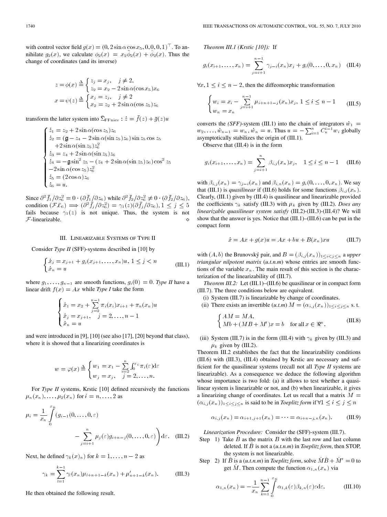with control vector field  $g(x) = (0, 2 \sin \alpha \cos x_5, 0, 0, 0, 1)^\top$ . To anmihilate  $g_2(x)$ , we calculate  $\phi_2(x) = x_2 \tilde{\phi}_2(x) + \hat{\phi}_2(x)$ . Thus the change of coordinates (and its inverse)

$$
z = \phi(x) \stackrel{\Delta}{=} \begin{cases} z_j = x_j, & j \neq 2, \\ z_2 = x_2 - 2 \sin \alpha (\cos x_5) x_6 \end{cases}
$$

$$
x = \psi(z) \stackrel{\Delta}{=} \begin{cases} x_j = z_j, & j \neq 2 \\ x_2 = z_2 + 2 \sin \alpha (\cos z_5) z_6 \end{cases}
$$

transform the latter system into  $\bar{\Sigma}_{\text{FFnice}}$  :  $\dot{z} = \bar{f}(z) + \bar{g}(z)u$ 

$$
z_1 = z_2 + 2 \sin \alpha (\cos z_5) z_6
$$
  
\n
$$
z_2 = (\mathbf{g} - z_4 - 2 \sin \alpha (\sin z_5) z_6) \sin z_5 \cos z_5
$$
  
\n
$$
+ 2 \sin \alpha (\sin z_5) z_6^2
$$
  
\n
$$
z_3 = z_4 + 2 \sin \alpha (\sin z_5) z_6
$$
  
\n
$$
z_4 = -\mathbf{g} \sin^2 z_5 - (z_4 + 2 \sin \alpha (\sin z_5) z_6) \cos^2 z_5
$$
  
\n
$$
- 2 \sin \alpha (\cos z_5) z_6^2
$$
  
\n
$$
z_5 = (2 \cos \alpha) z_6
$$
  
\n
$$
z_6 = u.
$$

Since  $\partial^2 \bar{f}_1/\partial z_6^2 = 0 \cdot (\partial \bar{f}_1/\partial z_6)$  while  $\partial^2 \bar{f}_2/\partial z_6^2 \neq 0 \cdot (\partial \bar{f}_2/\partial z_6)$ , condition  $(\mathcal{F}\mathcal{L}_6) \implies (\partial^2 \bar{f}_j / \partial z_6^2) = \gamma_1(z) (\partial \bar{f}_j / \partial z_6), 1 \le j \le 5$ fails because  $\gamma_1(z)$  is not unique. Thus, the system is not  $F$ -linearizable.

#### III. LINEARIZABLE SYSTEMS OF TYPE II

Consider *Type II* (SFF)-systems described in [10] by

$$
\begin{cases} \n\dot{x}_j = x_{j+1} + g_j(x_{j+1}, \dots, x_n) u, \ 1 \leq j < n \\ \n\dot{x}_n = u \n\end{cases} \tag{III.1}
$$

where  $g_1, \ldots, g_{n-1}$  are smooth functions,  $g_i(0) = 0$ . Type II have a linear drift  $f(x) = Ax$  while *Type I* take the form

$$
\begin{cases}\n\dot{x}_1 = x_2 + \sum_{j=2}^{n-1} \pi_i(x_i)x_{i+1} + \pi_n(x_n)u \\
\dot{x}_j = x_{j+1}, \quad j = 2, \dots, n-1 \\
\dot{x}_n = u\n\end{cases}
$$

and were introduced in [9], [10] (see also [17], [20] beyond that class), where it is showed that a linearizing coordinates is

$$
w = \varphi(x) \stackrel{\Delta}{=} \begin{cases} w_1 = x_1 - \sum_{i=2}^n \int_0^{x_i} \pi_i(\varepsilon) d\varepsilon \\ w_j = x_j, \quad j = 2, \dots, n. \end{cases}
$$

For *Type II* systems, Krstic [10] defined recursively the functions  $\mu_n(x_n), \ldots, \mu_2(x_n)$  for  $i = n, \ldots, 2$  as

$$
\mu_i = \frac{1}{x_n} \int_0^{x_n} (g_{i-1}(0, \dots, 0, \varepsilon))
$$
  

$$
- \sum_{j=i+1}^n \mu_j(\varepsilon) g_{i+n-j}(0, \dots, 0, \varepsilon) dx.
$$
 (III.2)

Next, he defined  $\gamma_k(x)_n$  for  $k = 1, \ldots, n-2$  as

$$
\gamma_k = \sum_{l=1}^{k-1} \gamma_l(x_n) \mu_{l+n+1-k}(x_n) + \mu'_{n+1-k}(x_n). \tag{III.3}
$$

He then obtained the following result.

*Theorem III.1 (Krstic [10]):* If

$$
g_i(x_{i+1},...,x_n) = \sum_{j=i+1}^{n-1} \gamma_{j-i}(x_n) x_j + g_i(0,...,0,x_n)
$$
 (III.4)

 $\forall x, 1 \leq i \leq n-2$ , then the diffeomorphic transformation

$$
\begin{cases} w_i = x_i - \sum_{j=i+1}^{n-1} \mu_{i+n+1-j}(x_n) x_j, \ 1 \le i \le n-1 \end{cases} \tag{III.5}
$$

converts the *(SFF)*-system *(III.1)* into the chain of integrators  $\dot{w}_1$  =  $w_2, \ldots, w_{n-1} = w_n, w_n = u$ . Thus  $u = -\sum_{i=1}^n C_n^{i-1} w_i$  globally asymptotically stabilizes the origin of (III.1).

Observe that (III.4) is in the form

$$
g_i(x_{i+1},...,x_n) = \sum_{j=i+1}^n \beta_{i,j}(x_n)x_j, \quad 1 \le i \le n-1 \quad \text{(III.6)}
$$

with  $\beta_{i,j}(x_n) = \gamma_{j-i}(x_n)$  and  $\beta_{i,n}(x_n) = g_i(0,\ldots,0,x_n)$ . We say that (III.1) is *quasilinear* if (III.6) holds for some functions  $\beta_{i,j}(x_n)$ . Clearly, (III.1) given by (III.4) is quasilinear and linearizable provided the coefficients  $\gamma_k$  satisfy (III.3) with  $\mu_k$  given by (III.2). *Does any linearizable quasilinear system satisfy* (III.2)-(III.3)-(III.4)? We will show that the answer is yes. Notice that (III.1)–(III.6) can be put in the compact form

$$
\dot{x} = Ax + g(x)u = Ax + bu + B(x_n)xu \tag{III.7}
$$

with  $(A, b)$  the Brunovský pair, and  $B = (\beta_{i,j}(x_n))_{1 \leq i < j \leq n}$  a *upper triangular nilpotent matrix* (*u.t.n.m*) whose entries are smooth functions of the variable  $x_n$ . The main result of this section is the characterization of the linearizability of (III.7).

*Theorem III.2:* Let (III.1)–(III.6) be quasilinear or in compact form (III.7). The three conditions below are equivalent.

(i) System (III.7) is linearizable by change of coordinates.

(ii) There exists an invertible  $(u.t.m) M = (\alpha_{i,j}(x_n))_{1 \leq i \leq j \leq n}$  s. t.

$$
\begin{cases}\nAM = MA, \\
Mb + (MB + M')x = b \quad \text{for all } x \in \Re^n.\n\end{cases}
$$
\n(III.8)

(iii) System (III.7) is in the form (III.4) with  $\gamma_k$  given by (III.3) and  $\mu_k$  given by (III.2).

Theorem III.2 establishes the fact that the linearizability conditions (III.6) with (III.3), (III.4) obtained by Krstic are necessary and sufficient for the quasilinear systems (recall not all *Type II* systems are linearizable). As a consequence we deduce the following algorithm whose importance is two fold: (a) it allows to test whether a quasilinear system is linearizable or not, and (b) when linearizable, it gives a linearizing change of coordinates. Let us recall that a matrix  $M =$  $(\alpha_{i,j}(x_n))_{1 \leq i \leq j \leq n}$  is said to be in *Toeplitz form* if  $\forall 1 \leq i \leq j \leq n$ 

$$
\alpha_{i,j}(x_n) = \alpha_{i+1,j+1}(x_n) = \dots = \alpha_{i+n-j,n}(x_n). \tag{III.9}
$$

*Linearization Procedure:* Consider the (SFF)-system (III.7).

- Step 1) Take  $\overline{B}$  as the matrix  $\overline{B}$  with the last row and last column deleted. If  $\ddot{B}$  is not a (*u.t.n.m*) in *Toeplitz form*, then STOP, the system is not linearizable.
- Step 2) If  $\hat{B}$  is a (*u.t.n.m*) in *Toeplitz form*, solve  $\hat{M}\hat{B} + \hat{M}' = 0$  to get  $\hat{M}$ . Then compute the function  $\alpha_{1,n}(x_n)$  via

$$
\alpha_{1,n}(x_n) = -\frac{1}{x_n} \sum_{k=1}^{n-1} \int_0^{x_n} \alpha_{1,k}(\varepsilon) \beta_{k,n}(\varepsilon) \varepsilon d\varepsilon.
$$
 (III.10)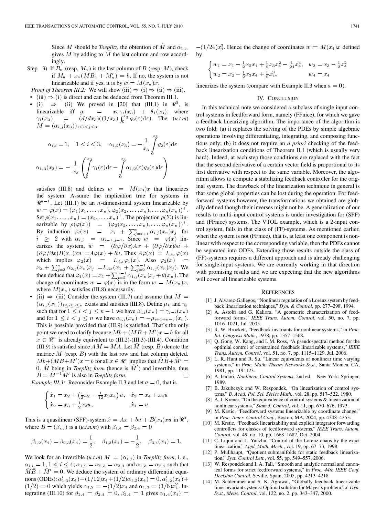Since M should be *Toeplitz*, the obtention of  $\hat{M}$  and  $\alpha_{1,n}$ gives  $M$  by adding to  $\tilde{M}$  the last column and row accordingly.

Step 3) If  $B_n$  (resp.  $M_n$ ) is the last column of B (resp. M), check if  $M_n + x_n(MB_n + M'_n) = b$ . If no, the system is not linearizable and if yes, it is by  $w = M(x_n)x$ .

*Proof of Theorem III.2:* We will show  $(iii) \Rightarrow (i) \Rightarrow (ii) \Rightarrow (iii)$ . •  $(iii) \Rightarrow (i)$  is direct and can be deduced from Theorem III.1.

• (i)  $\Rightarrow$  (ii) We proved in [20] that (III.1) in  $\mathbb{R}^3$ , is linearizable iff  $g_1$  $x_1 = x_2 \gamma_1(x_3) + \theta_1(x_3)$ , where  $\gamma_1(x_3)$  $=$  $(dx_3)((1/x_3)\int_0^{x_3} g_2(\varepsilon)d\varepsilon)$ . The  $(u.t.m)$  $M = (\alpha_{i,j}(x_3))_{1 \leq i \leq j \leq 3}$ 

$$
\alpha_{i,i} = 1, \quad 1 \le i \le 3, \quad \alpha_{1,2}(x_3) = -\frac{1}{x_3} \int_0^{x_3} g_2(\varepsilon) d\varepsilon
$$

$$
\alpha_{1,3}(x_3) = -\frac{1}{x_3} \left( \int_0^{x_3} \gamma_1(\varepsilon) d\varepsilon - \int_0^{x_3} \alpha_{1,2}(\varepsilon) g_2(\varepsilon) d\varepsilon \right)
$$

satisfies (III.8) and defines  $w = M(x_3)x$  that linearizes the system. Assume the implication true for systems in  $\mathbb{R}^{n-1}$ . Let (III.1) be an *n*-dimensional system linearizable by  $w = \varphi(x) = (\varphi_1(x_1, ..., x_n), \varphi_2(x_2, ..., x_n), ..., \varphi_n(x_n))^{\top}.$ Set  $\rho(x_1, \ldots, x_n) = (x_2, \ldots, x_n)^\top$ . The projection  $\rho(\Sigma)$  is linearizable by  $\rho(\varphi(x)) = (\varphi_2(x_2, \ldots, x_n), \ldots, \varphi_n(x_n))^{\top}$ . By induction  $\varphi_i(x) = x_i + \sum_{j=i+1}^n \alpha_{i,j}(x_n) x_j$  for  $i \geq 2$  with  $\alpha_{i,j} = \alpha_{i-1,j-1}$ . Since  $w = \varphi(x)$  linearizes the system,  $\dot{w} = (\partial \varphi / \partial x) A x + (\partial \varphi / \partial x) b u +$  $(\partial \varphi / \partial x) B(x_n) x u = A \varphi(x) + bu$ . Thus  $A \varphi(x) = L_{Ax} \varphi(x)$ which implies  $\varphi_2(x) = L_{Ax} \varphi_1(x)$ . Also  $\varphi_2(x) =$  $x_2 + \sum_{j=3}^n \alpha_{2,j}(x_n)x_j = L_{Ax}(x_1 + \sum_{j=2}^{n-1} \alpha_{1,j}(x_n)x_j)$ . We then deduce that  $\varphi_1(x) = x_1 + \sum_{j=2}^{n-1} \alpha_{1,j}(x_n) x_j + \theta(x_n)$ . The change of coordinates  $w = \varphi(x)$  is in the form  $w = M(x_n)x$ , where  $M(x_n)$  satisfies (III.8) necessarily.

 $(iii) \Rightarrow (iii)$  Consider the system (III.7) and assume that  $M =$  $(\alpha_{i,j}(x_n))_{1 \leq i \leq j \leq n}$  exists and satisfies (III.8). Define  $\mu_k$  and  $\gamma_k$ such that for  $1 \leq i < j \leq n-1$  we have  $\beta_{i,j}(x_n) = \gamma_{j-i}(x_n)$ and for  $1 \leq i < j \leq n$  we have  $\alpha_{i,j}(x_n) = -\mu_{i+1+n-j}(x_n)$ . This is possible provided that (III.9) is satisfied. That's the only point we need to clarify because  $Mb + (MB + M')x = b$  for all  $x \in \mathbb{R}^n$  is already equivalent to (III.2)-(III.3)-(III.4). Condition (III.9) is satisfied since  $AM = MA$ . Let  $\hat{M}$  (resp.  $\hat{B}$ ) denote the matrice  $M$  (resp.  $B$ ) with the last row and last column deleted.  $Mb + (MB + M')x = b$  for all  $x \in \Re^n$  implies that  $\hat{M}\hat{B} + \hat{M}' =$ 0.  $\hat{M}$  being in *Toeplitz form* (hence is  $\hat{M}'$ ) and invertible, thus  $\hat{B} = \hat{M}^{-1} \hat{M}'$  is also in *Toeplitz form*. П

*Example III.3:* Reconsider Example II.3 and let  $a = 0$ , that is

$$
\begin{cases} \n\dot{x}_1 = x_2 + \left(\frac{1}{2}x_2 - \frac{1}{12}x_3x_4\right)u, & \dot{x}_3 = x_4 + x_4u \\ \n\dot{x}_2 = x_3 + \frac{1}{2}x_3u, & \dot{x}_4 = u. \n\end{cases}
$$

This is a quasilinear (SFF)-system  $\dot{x} = Ax + bu + B(x_4)xu$  in  $\mathbb{R}^4$ , where  $B = (\beta_{i,j})$  is a (*u.t.n.m*) with  $\beta_{1,4} = \beta_{2,4} = 0$ 

$$
\beta_{1,2}(x_4) = \beta_{2,3}(x_4) = \frac{1}{2}, \quad \beta_{1,3}(x_4) = -\frac{1}{2}, \quad \beta_{3,4}(x_4) = 1.
$$

We look for an invertible  $(u.t.m)$   $M = (\alpha_{i,j})$  in *Toeplitz form*, i. e.,  $\alpha_{i,i} = 1, 1 \leq i \leq 4; \alpha_{1,2} = \alpha_{2,3} = \alpha_{3,4}$  and  $\alpha_{1,3} = \alpha_{2,4}$  such that  $\hat{M}\hat{B} + \hat{M}' = 0$ . We deduce the system of ordinary differential equations (ODEs):  $\alpha'_{1,3}(x_4) - (1/12)x_4 + (1/2)\alpha_{1,2}(x_4) = 0, \alpha'_{1,2}(x_4) +$  $(1/2) = 0$  which yields  $\alpha_{1,2} = -(1/2)x_4$  and  $\alpha_{1,3} = (1/6)x_4^2$ . Integrating (III.10) for  $\beta_{1,4} = \beta_{2,4} = 0$ ,  $\beta_{3,4} = 1$  gives  $\alpha_{1,4}(x_4) =$ 

 $-(1/24)x_4^3$ . Hence the change of coordinates  $w = M(x_4)x$  defined by

$$
\begin{cases}\nw_1 = x_1 - \frac{1}{2}x_2x_4 + \frac{1}{6}x_3x_4^2 - \frac{1}{24}x_4^4, & w_3 = x_3 - \frac{1}{2}x_4^2 \\
w_2 = x_2 - \frac{1}{2}x_3x_4 + \frac{1}{6}x_4^3, & w_4 = x_4\n\end{cases}
$$

linearizes the system (compare with Example II.3 when  $a = 0$ ).

#### IV. CONCLUSION

In this technical note we considered a subclass of single input control systems in feedforward form, namely (FFnice), for which we gave a feedback linearizing algorithm. The importance of the algorithm is two fold: (a) it replaces the solving of the PDEs by simple algebraic operations involving differentiating, integrating, and composing functions only; (b) it does not require an *a priori* checking of the feedback linearization conditions of Theorem II.1 (which is usually very hard). Indeed, at each step those conditions are replaced with the fact that the second derivative of a certain vector field is proportional to its first derivative with respect to the same variable. Moreover, the algorithm allows to compute a stabilizing feedback controller for the original system. The drawback of the linearization technique in general is that some global properties can be lost during the operation. For feedforward systems however, the transformations we obtained are globally defined though their inverses might not be. A generalization of our results to multi-input control systems is under investigation for (SFF) and (FFnice) systems. The VTOL example, which is a 2-input control system, falls in that class of (FF)-systems. As mentioned earlier, when the system is not (FFnice), that is, at least one component is nonlinear with respect to the corresponding variable, then the PDEs cannot be separated into ODEs. Extending those results outside the class of (FF)-systems requires a different approach and is already challenging for single-input systems. We are currently working in that direction with promising results and we are expecting that the new algorithms will cover all linearizable systems.

#### **REFERENCES**

- [1] J. Alvarez-Gallegos, "Nonlinear regulation of a Lorenz system by feedback linearization techniques," *Dyn. & Control*, pp. 277–298, 1994.
- [2] A. Astolfi and G. Kaliora, "A geometric characterization of feedforward forms," *IEEE Trans. Autom. Control*, vol. 50, no. 7, pp. 1016–1021, Jul. 2005.
- [3] R. W. Brockett, "Feedback invariants for nonlinear systems," in *Proc. Int. Congress Math.*, 1978, pp. 1357–1368.
- [4] Q. Gong, W. Kang, and I. M. Ross, "A pseudospectral method for the optimial control of constrained feedback linearizable systems," *IEEE Trans. Autom. Control*, vol. 51, no. 7, pp. 1115–1129, Jul. 2006.
- [5] L. R. Hunt and R. Su, "Linear equivalents of nonlinear time varying systems," in *Proc. Math. Theory Networks Syst.*, Santa Monica, CA, 1981, pp. 119–123.
- [6] A. Isidori*, Nonlinear Control Systems*, 2nd ed. New York: Springer, 1989.
- [7] B. Jakubczyk and W. Respondek, "On linearization of control systems," *B. Acad. Pol. Sci. Séries Math.*, vol. 28, pp. 517–522, 1980.
- [8] A. J. Krener, "On the equivalence of control systems & linearization of nonlinear systems," *Siam J. Control*, vol. 11, pp. 670–676, 1973.
- M. Krstic, "Feedforward systems linearizable by coordinate change," in *Proc. Amer. Control Conf.*, Boston, MA, 2004, pp. 4348–4353.
- [10] M. Krstic, "Feedback linearizability and explicit integrator forwarding controllers for classes of feedforward systems," *IEEE Trans. Autom. Control*, vol. 49, no. 10, pp. 1668–1682, Oct. 2004.
- [11] C. Liqun and L. Yanzhu, "Control of the Lorenz chaos by the exact linearization," *Appl. Math. Mech.*, vol. 19, pp. 67–73, 1998.
- [12] P. Mullhaupt, "Quotient submanifolds for static feedback linearization," *Syst. Control Lett.*, vol. 55, pp. 549–557, 2006.
- [13] W. Respondek and I. A. Tall, "Smooth and analytic normal and canonical forms for strict feedforward systems," in *Proc. 44th IEEE Conf. Decision Control*, Seville, Spain, 2005, pp. 4213–4218.
- [14] M. Schlemmer and S. K. Agrawal, "Globally feedback linearizable time-invariant systems: Optimal solution for Mayer's problem," *J. Dyn. Syst., Meas. Control*, vol. 122, no. 2, pp. 343–347, 2000.